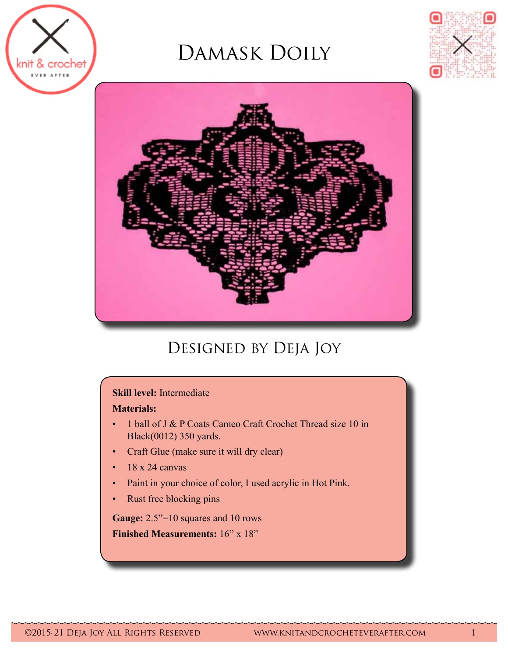

# Damask Doily





## DESIGNED BY DEJA JOY

### **Skill level:** Intermediate

### **Materials:**

- 1 ball of J & P Coats Cameo Craft Crochet Thread size 10 in Black(0012) 350 yards.
- • Craft Glue (make sure it will dry clear)
- $\cdot$  18 x 24 canvas
- • Paint in your choice of color, I used acrylic in Hot Pink.
- • Rust free blocking pins

Gauge:  $2.5"$ =10 squares and 10 rows

**Finished Measurements:** 16" x 18"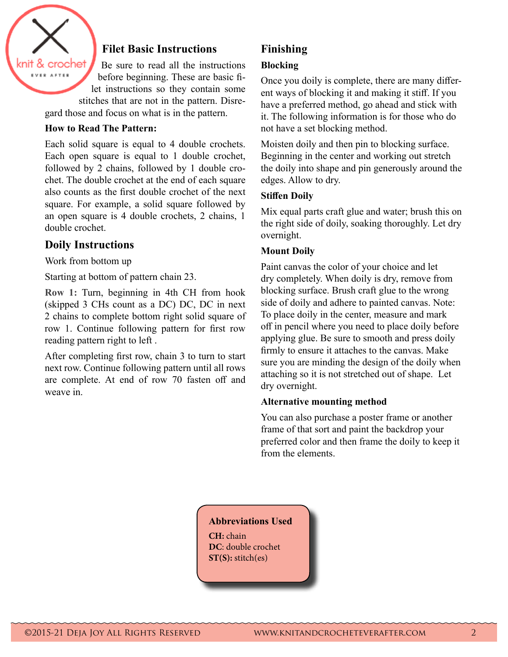

### **Filet Basic Instructions**

Be sure to read all the instructions before beginning. These are basic filet instructions so they contain some stitches that are not in the pattern. Disre-

gard those and focus on what is in the pattern.

#### **How to Read The Pattern:**

Each solid square is equal to 4 double crochets. Each open square is equal to 1 double crochet, followed by 2 chains, followed by 1 double crochet. The double crochet at the end of each square also counts as the first double crochet of the next square. For example, a solid square followed by an open square is 4 double crochets, 2 chains, 1 double crochet.

### **Doily Instructions**

Work from bottom up

Starting at bottom of pattern chain 23.

**Row 1:** Turn, beginning in 4th CH from hook (skipped 3 CHs count as a DC) DC, DC in next 2 chains to complete bottom right solid square of row 1. Continue following pattern for first row reading pattern right to left .

After completing first row, chain 3 to turn to start next row. Continue following pattern until all rows are complete. At end of row 70 fasten off and weave in.

### **Finishing**

### **Blocking**

Once you doily is complete, there are many different ways of blocking it and making it stiff. If you have a preferred method, go ahead and stick with it. The following information is for those who do not have a set blocking method.

Moisten doily and then pin to blocking surface. Beginning in the center and working out stretch the doily into shape and pin generously around the edges. Allow to dry.

### **Stiffen Doily**

Mix equal parts craft glue and water; brush this on the right side of doily, soaking thoroughly. Let dry overnight.

### **Mount Doily**

Paint canvas the color of your choice and let dry completely. When doily is dry, remove from blocking surface. Brush craft glue to the wrong side of doily and adhere to painted canvas. Note: To place doily in the center, measure and mark off in pencil where you need to place doily before applying glue. Be sure to smooth and press doily firmly to ensure it attaches to the canvas. Make sure you are minding the design of the doily when attaching so it is not stretched out of shape. Let dry overnight.

### **Alternative mounting method**

You can also purchase a poster frame or another frame of that sort and paint the backdrop your preferred color and then frame the doily to keep it from the elements.

### **Abbreviations Used**

**CH:** chain **DC**: double crochet **ST(S):** stitch(es)